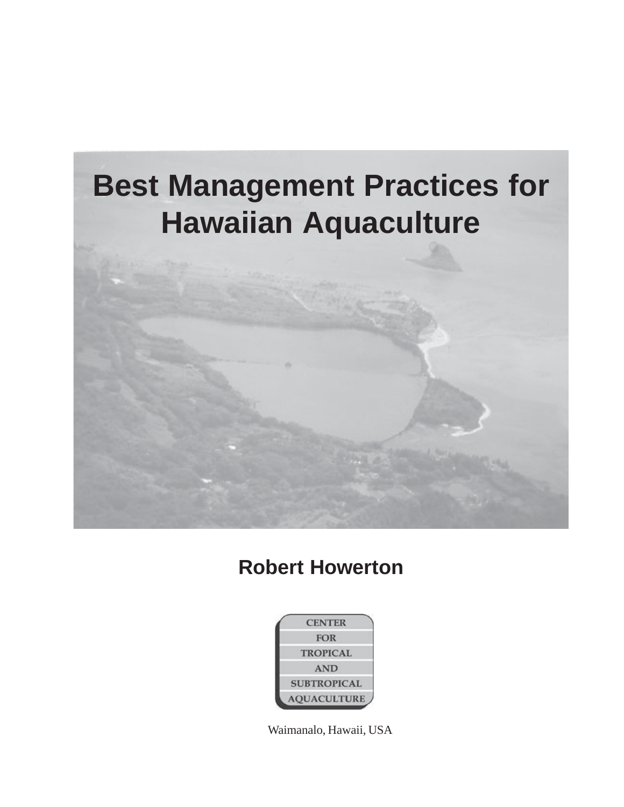

## **Robert Howerton**



Waimanalo, Hawaii, USA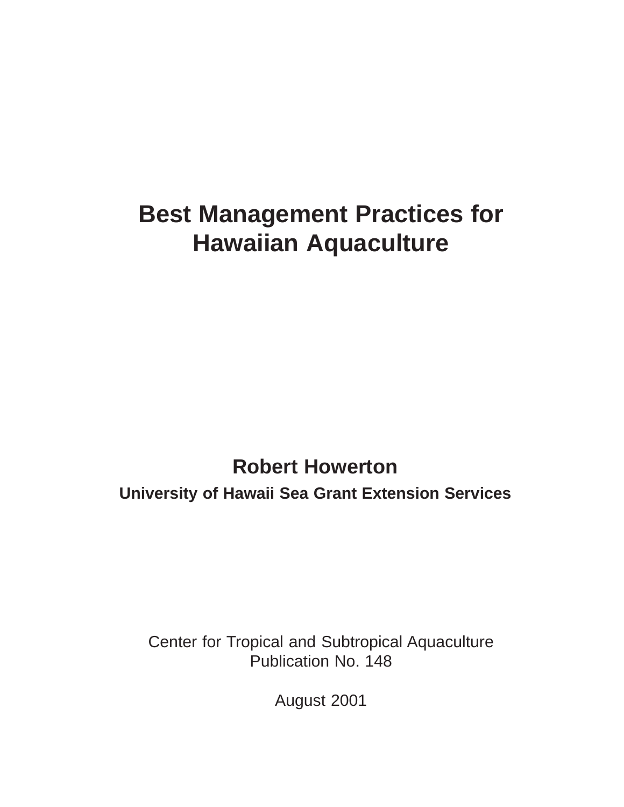# **Best Management Practices for Hawaiian Aquaculture**

# **Robert Howerton University of Hawaii Sea Grant Extension Services**

Center for Tropical and Subtropical Aquaculture Publication No. 148

August 2001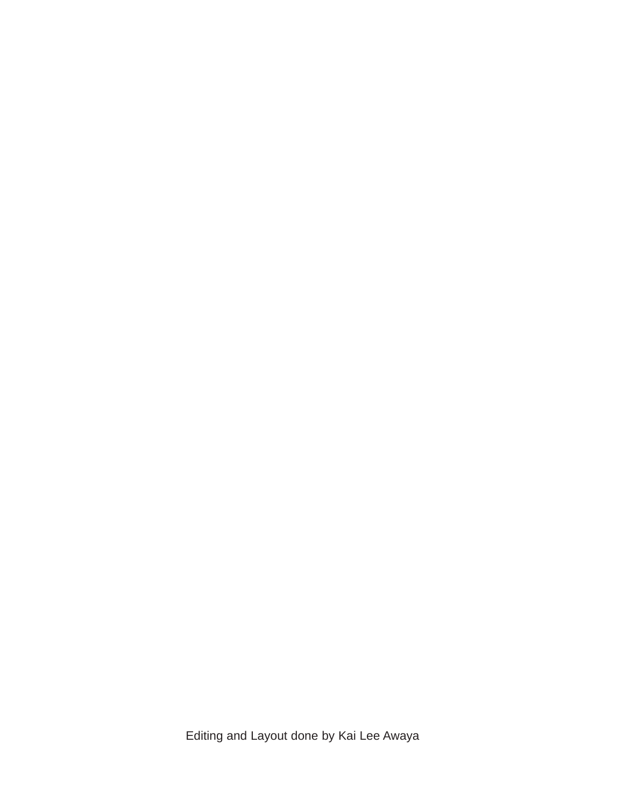Editing and Layout done by Kai Lee Awaya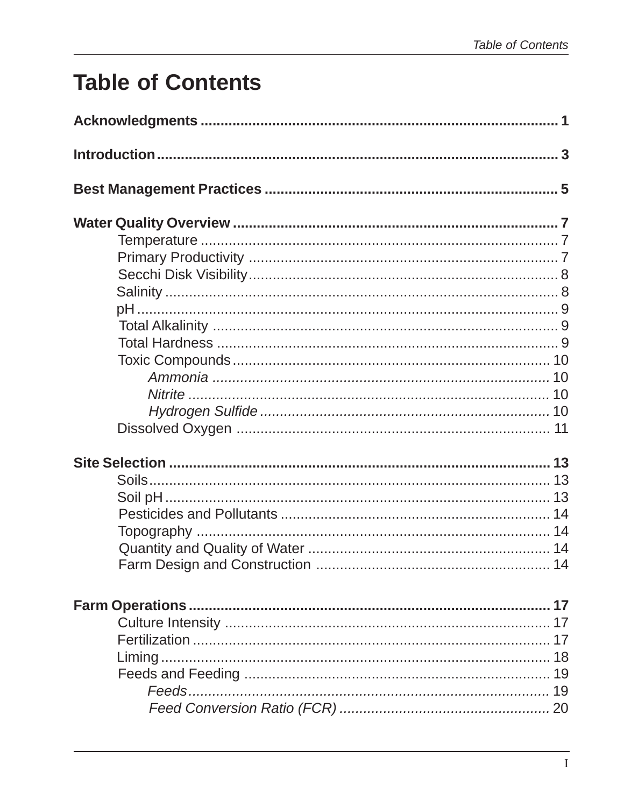# **Table of Contents**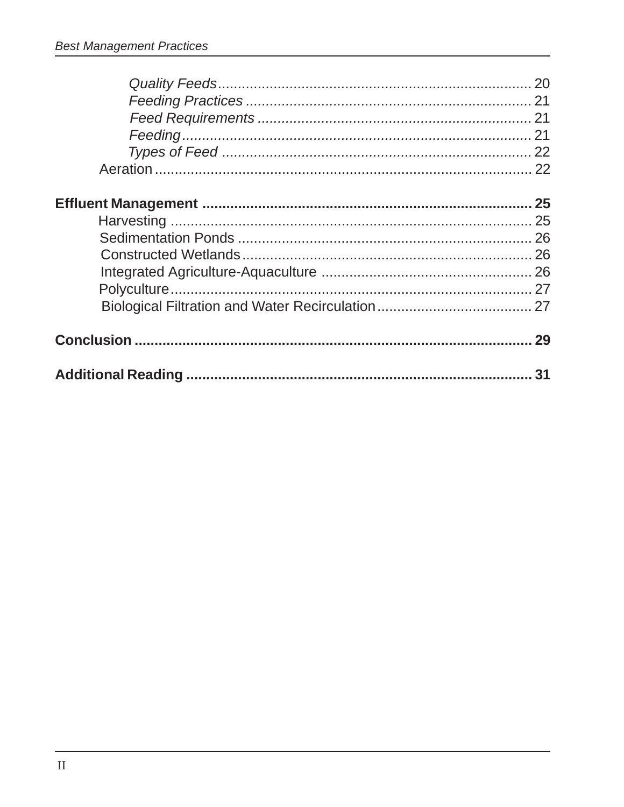| 31 |
|----|
|    |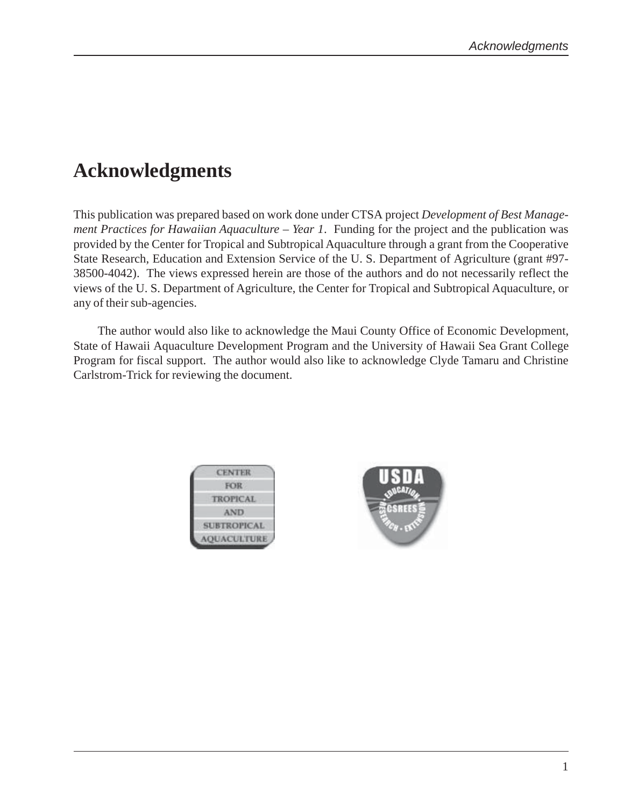## **Acknowledgments**

This publication was prepared based on work done under CTSA project *Development of Best Management Practices for Hawaiian Aquaculture – Year 1*. Funding for the project and the publication was provided by the Center for Tropical and Subtropical Aquaculture through a grant from the Cooperative State Research, Education and Extension Service of the U. S. Department of Agriculture (grant #97- 38500-4042). The views expressed herein are those of the authors and do not necessarily reflect the views of the U. S. Department of Agriculture, the Center for Tropical and Subtropical Aquaculture, or any of their sub-agencies.

The author would also like to acknowledge the Maui County Office of Economic Development, State of Hawaii Aquaculture Development Program and the University of Hawaii Sea Grant College Program for fiscal support. The author would also like to acknowledge Clyde Tamaru and Christine Carlstrom-Trick for reviewing the document.



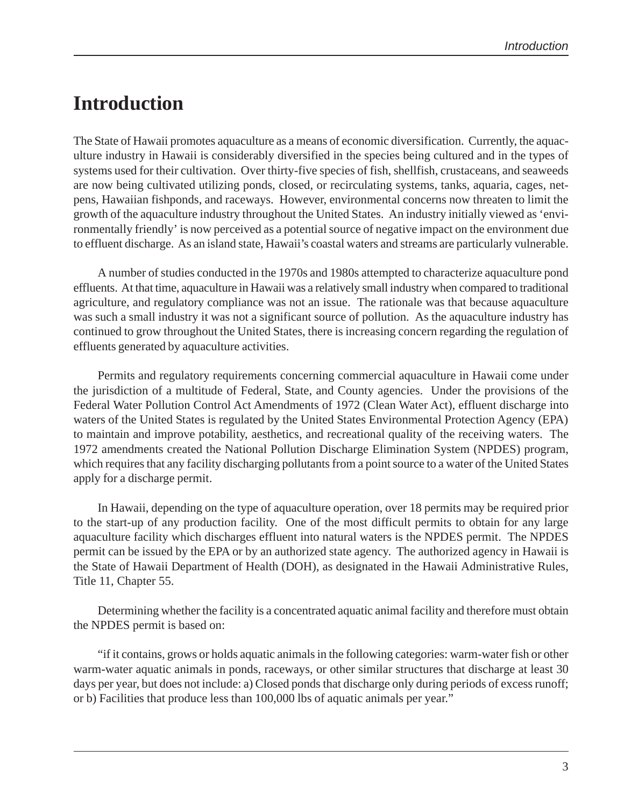## **Introduction**

The State of Hawaii promotes aquaculture as a means of economic diversification. Currently, the aquaculture industry in Hawaii is considerably diversified in the species being cultured and in the types of systems used for their cultivation. Over thirty-five species of fish, shellfish, crustaceans, and seaweeds are now being cultivated utilizing ponds, closed, or recirculating systems, tanks, aquaria, cages, netpens, Hawaiian fishponds, and raceways. However, environmental concerns now threaten to limit the growth of the aquaculture industry throughout the United States. An industry initially viewed as 'environmentally friendly' is now perceived as a potential source of negative impact on the environment due to effluent discharge. As an island state, Hawaii's coastal waters and streams are particularly vulnerable.

A number of studies conducted in the 1970s and 1980s attempted to characterize aquaculture pond effluents. At that time, aquaculture in Hawaii was a relatively small industry when compared to traditional agriculture, and regulatory compliance was not an issue. The rationale was that because aquaculture was such a small industry it was not a significant source of pollution. As the aquaculture industry has continued to grow throughout the United States, there is increasing concern regarding the regulation of effluents generated by aquaculture activities.

Permits and regulatory requirements concerning commercial aquaculture in Hawaii come under the jurisdiction of a multitude of Federal, State, and County agencies. Under the provisions of the Federal Water Pollution Control Act Amendments of 1972 (Clean Water Act), effluent discharge into waters of the United States is regulated by the United States Environmental Protection Agency (EPA) to maintain and improve potability, aesthetics, and recreational quality of the receiving waters. The 1972 amendments created the National Pollution Discharge Elimination System (NPDES) program, which requires that any facility discharging pollutants from a point source to a water of the United States apply for a discharge permit.

In Hawaii, depending on the type of aquaculture operation, over 18 permits may be required prior to the start-up of any production facility. One of the most difficult permits to obtain for any large aquaculture facility which discharges effluent into natural waters is the NPDES permit. The NPDES permit can be issued by the EPA or by an authorized state agency. The authorized agency in Hawaii is the State of Hawaii Department of Health (DOH), as designated in the Hawaii Administrative Rules, Title 11, Chapter 55.

Determining whether the facility is a concentrated aquatic animal facility and therefore must obtain the NPDES permit is based on:

"if it contains, grows or holds aquatic animals in the following categories: warm-water fish or other warm-water aquatic animals in ponds, raceways, or other similar structures that discharge at least 30 days per year, but does not include: a) Closed ponds that discharge only during periods of excess runoff; or b) Facilities that produce less than 100,000 lbs of aquatic animals per year."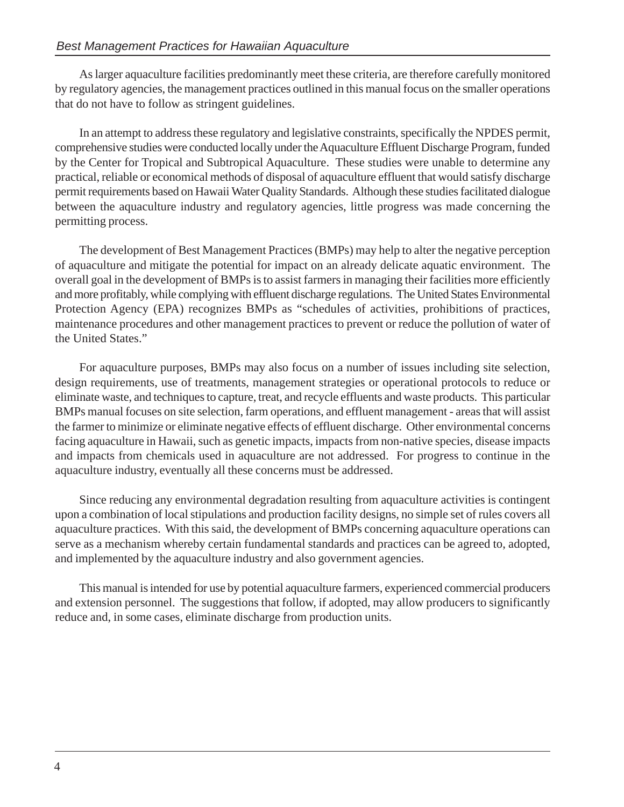As larger aquaculture facilities predominantly meet these criteria, are therefore carefully monitored by regulatory agencies, the management practices outlined in this manual focus on the smaller operations that do not have to follow as stringent guidelines.

In an attempt to address these regulatory and legislative constraints, specifically the NPDES permit, comprehensive studies were conducted locally under the Aquaculture Effluent Discharge Program, funded by the Center for Tropical and Subtropical Aquaculture. These studies were unable to determine any practical, reliable or economical methods of disposal of aquaculture effluent that would satisfy discharge permit requirements based on Hawaii Water Quality Standards. Although these studies facilitated dialogue between the aquaculture industry and regulatory agencies, little progress was made concerning the permitting process.

The development of Best Management Practices (BMPs) may help to alter the negative perception of aquaculture and mitigate the potential for impact on an already delicate aquatic environment. The overall goal in the development of BMPs is to assist farmers in managing their facilities more efficiently and more profitably, while complying with effluent discharge regulations. The United States Environmental Protection Agency (EPA) recognizes BMPs as "schedules of activities, prohibitions of practices, maintenance procedures and other management practices to prevent or reduce the pollution of water of the United States."

For aquaculture purposes, BMPs may also focus on a number of issues including site selection, design requirements, use of treatments, management strategies or operational protocols to reduce or eliminate waste, and techniques to capture, treat, and recycle effluents and waste products. This particular BMPs manual focuses on site selection, farm operations, and effluent management - areas that will assist the farmer to minimize or eliminate negative effects of effluent discharge. Other environmental concerns facing aquaculture in Hawaii, such as genetic impacts, impacts from non-native species, disease impacts and impacts from chemicals used in aquaculture are not addressed. For progress to continue in the aquaculture industry, eventually all these concerns must be addressed.

Since reducing any environmental degradation resulting from aquaculture activities is contingent upon a combination of local stipulations and production facility designs, no simple set of rules covers all aquaculture practices. With this said, the development of BMPs concerning aquaculture operations can serve as a mechanism whereby certain fundamental standards and practices can be agreed to, adopted, and implemented by the aquaculture industry and also government agencies.

This manual is intended for use by potential aquaculture farmers, experienced commercial producers and extension personnel. The suggestions that follow, if adopted, may allow producers to significantly reduce and, in some cases, eliminate discharge from production units.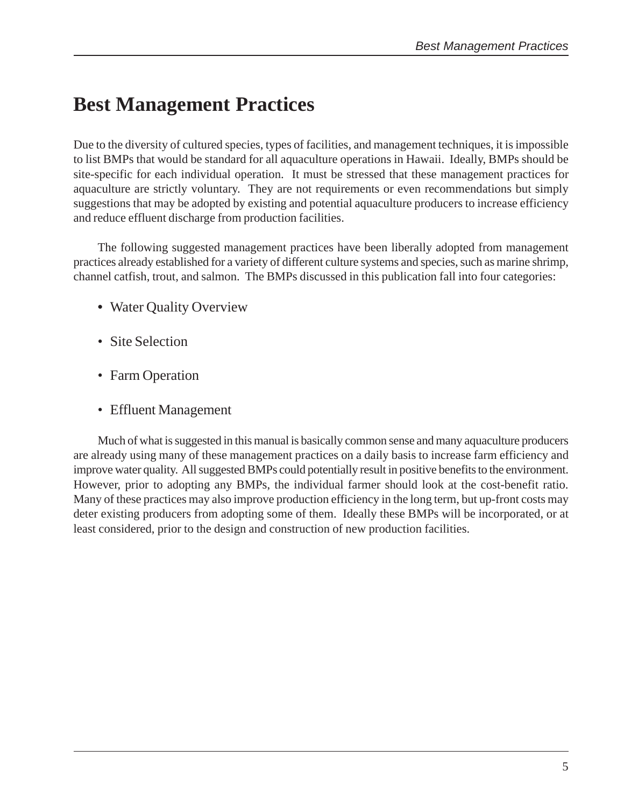## **Best Management Practices**

Due to the diversity of cultured species, types of facilities, and management techniques, it is impossible to list BMPs that would be standard for all aquaculture operations in Hawaii. Ideally, BMPs should be site-specific for each individual operation. It must be stressed that these management practices for aquaculture are strictly voluntary. They are not requirements or even recommendations but simply suggestions that may be adopted by existing and potential aquaculture producers to increase efficiency and reduce effluent discharge from production facilities.

The following suggested management practices have been liberally adopted from management practices already established for a variety of different culture systems and species, such as marine shrimp, channel catfish, trout, and salmon. The BMPs discussed in this publication fall into four categories:

- **•** Water Quality Overview
- Site Selection
- Farm Operation
- Effluent Management

Much of what is suggested in this manual is basically common sense and many aquaculture producers are already using many of these management practices on a daily basis to increase farm efficiency and improve water quality. All suggested BMPs could potentially result in positive benefits to the environment. However, prior to adopting any BMPs, the individual farmer should look at the cost-benefit ratio. Many of these practices may also improve production efficiency in the long term, but up-front costs may deter existing producers from adopting some of them. Ideally these BMPs will be incorporated, or at least considered, prior to the design and construction of new production facilities.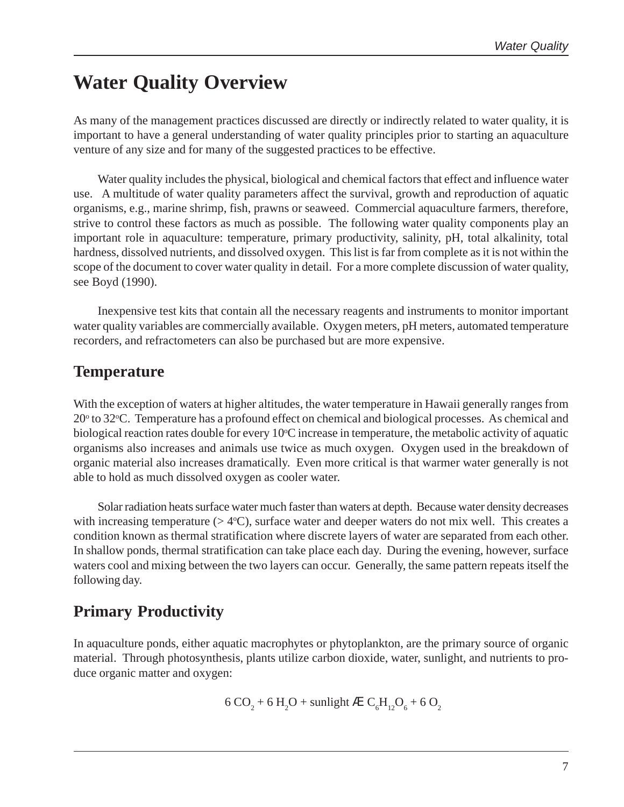## **Water Quality Overview**

As many of the management practices discussed are directly or indirectly related to water quality, it is important to have a general understanding of water quality principles prior to starting an aquaculture venture of any size and for many of the suggested practices to be effective.

Water quality includes the physical, biological and chemical factors that effect and influence water use. A multitude of water quality parameters affect the survival, growth and reproduction of aquatic organisms, e.g., marine shrimp, fish, prawns or seaweed. Commercial aquaculture farmers, therefore, strive to control these factors as much as possible. The following water quality components play an important role in aquaculture: temperature, primary productivity, salinity, pH, total alkalinity, total hardness, dissolved nutrients, and dissolved oxygen. This list is far from complete as it is not within the scope of the document to cover water quality in detail. For a more complete discussion of water quality, see Boyd (1990).

Inexpensive test kits that contain all the necessary reagents and instruments to monitor important water quality variables are commercially available. Oxygen meters, pH meters, automated temperature recorders, and refractometers can also be purchased but are more expensive.

#### **Temperature**

With the exception of waters at higher altitudes, the water temperature in Hawaii generally ranges from 20<sup>o</sup> to 32<sup>o</sup>C. Temperature has a profound effect on chemical and biological processes. As chemical and biological reaction rates double for every 10°C increase in temperature, the metabolic activity of aquatic organisms also increases and animals use twice as much oxygen. Oxygen used in the breakdown of organic material also increases dramatically. Even more critical is that warmer water generally is not able to hold as much dissolved oxygen as cooler water.

Solar radiation heats surface water much faster than waters at depth. Because water density decreases with increasing temperature  $(> 4^{\circ}C)$ , surface water and deeper waters do not mix well. This creates a condition known as thermal stratification where discrete layers of water are separated from each other. In shallow ponds, thermal stratification can take place each day. During the evening, however, surface waters cool and mixing between the two layers can occur. Generally, the same pattern repeats itself the following day.

### **Primary Productivity**

In aquaculture ponds, either aquatic macrophytes or phytoplankton, are the primary source of organic material. Through photosynthesis, plants utilize carbon dioxide, water, sunlight, and nutrients to produce organic matter and oxygen:

6 CO<sub>2</sub> + 6 H<sub>2</sub>O + sunlight à  $C_6H_{12}O_6$  + 6 O<sub>2</sub>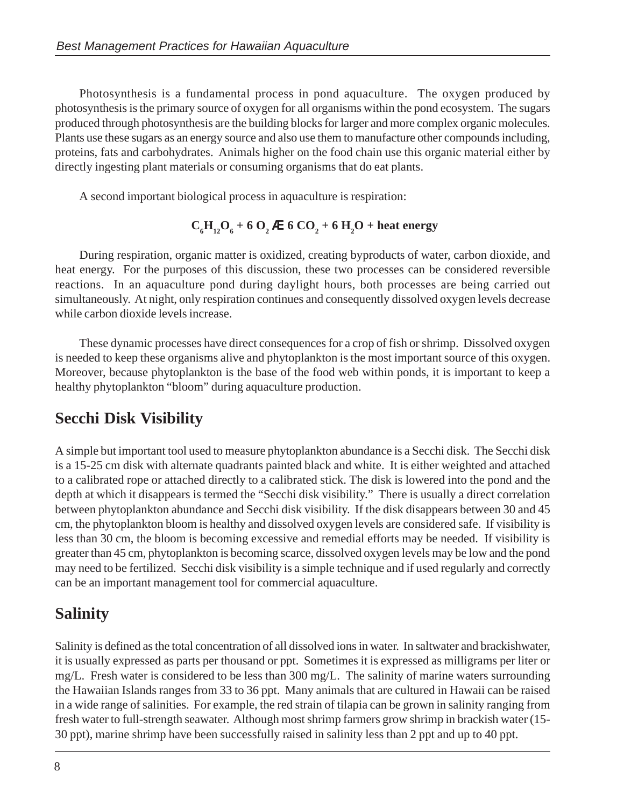Photosynthesis is a fundamental process in pond aquaculture. The oxygen produced by photosynthesis is the primary source of oxygen for all organisms within the pond ecosystem. The sugars produced through photosynthesis are the building blocks for larger and more complex organic molecules. Plants use these sugars as an energy source and also use them to manufacture other compounds including, proteins, fats and carbohydrates. Animals higher on the food chain use this organic material either by directly ingesting plant materials or consuming organisms that do eat plants.

A second important biological process in aquaculture is respiration:

#### $C_6H_{12}O_6 + 6O_2$  à 6 CO<sub>2</sub> + 6 H<sub>2</sub>O + heat energy

During respiration, organic matter is oxidized, creating byproducts of water, carbon dioxide, and heat energy. For the purposes of this discussion, these two processes can be considered reversible reactions. In an aquaculture pond during daylight hours, both processes are being carried out simultaneously. At night, only respiration continues and consequently dissolved oxygen levels decrease while carbon dioxide levels increase.

These dynamic processes have direct consequences for a crop of fish or shrimp. Dissolved oxygen is needed to keep these organisms alive and phytoplankton is the most important source of this oxygen. Moreover, because phytoplankton is the base of the food web within ponds, it is important to keep a healthy phytoplankton "bloom" during aquaculture production.

#### **Secchi Disk Visibility**

A simple but important tool used to measure phytoplankton abundance is a Secchi disk. The Secchi disk is a 15-25 cm disk with alternate quadrants painted black and white. It is either weighted and attached to a calibrated rope or attached directly to a calibrated stick. The disk is lowered into the pond and the depth at which it disappears is termed the "Secchi disk visibility." There is usually a direct correlation between phytoplankton abundance and Secchi disk visibility. If the disk disappears between 30 and 45 cm, the phytoplankton bloom is healthy and dissolved oxygen levels are considered safe. If visibility is less than 30 cm, the bloom is becoming excessive and remedial efforts may be needed. If visibility is greater than 45 cm, phytoplankton is becoming scarce, dissolved oxygen levels may be low and the pond may need to be fertilized. Secchi disk visibility is a simple technique and if used regularly and correctly can be an important management tool for commercial aquaculture.

#### **Salinity**

Salinity is defined as the total concentration of all dissolved ions in water. In saltwater and brackishwater, it is usually expressed as parts per thousand or ppt. Sometimes it is expressed as milligrams per liter or mg/L. Fresh water is considered to be less than 300 mg/L. The salinity of marine waters surrounding the Hawaiian Islands ranges from 33 to 36 ppt. Many animals that are cultured in Hawaii can be raised in a wide range of salinities. For example, the red strain of tilapia can be grown in salinity ranging from fresh water to full-strength seawater. Although most shrimp farmers grow shrimp in brackish water (15- 30 ppt), marine shrimp have been successfully raised in salinity less than 2 ppt and up to 40 ppt.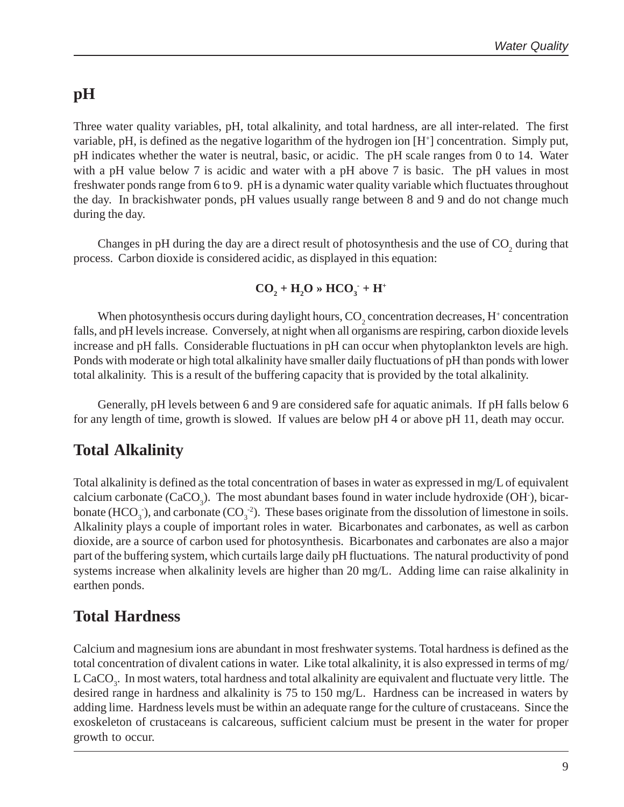#### **pH**

Three water quality variables, pH, total alkalinity, and total hardness, are all inter-related. The first variable, pH, is defined as the negative logarithm of the hydrogen ion [H<sup>+</sup>] concentration. Simply put, pH indicates whether the water is neutral, basic, or acidic. The pH scale ranges from 0 to 14. Water with a pH value below 7 is acidic and water with a pH above 7 is basic. The pH values in most freshwater ponds range from 6 to 9. pH is a dynamic water quality variable which fluctuates throughout the day. In brackishwater ponds, pH values usually range between 8 and 9 and do not change much during the day.

Changes in pH during the day are a direct result of photosynthesis and the use of  $CO<sub>2</sub>$  during that process. Carbon dioxide is considered acidic, as displayed in this equation:

$$
CO_2 + H_2O \gg HCO_3 + H^+
$$

When photosynthesis occurs during daylight hours,  $\mathrm{CO}_2$  concentration decreases, H+ concentration falls, and pH levels increase. Conversely, at night when all organisms are respiring, carbon dioxide levels increase and pH falls. Considerable fluctuations in pH can occur when phytoplankton levels are high. Ponds with moderate or high total alkalinity have smaller daily fluctuations of pH than ponds with lower total alkalinity. This is a result of the buffering capacity that is provided by the total alkalinity.

Generally, pH levels between 6 and 9 are considered safe for aquatic animals. If pH falls below 6 for any length of time, growth is slowed. If values are below pH 4 or above pH 11, death may occur.

### **Total Alkalinity**

Total alkalinity is defined as the total concentration of bases in water as expressed in mg/L of equivalent calcium carbonate  $(CaCO_3)$ . The most abundant bases found in water include hydroxide (OH $\cdot$ ), bicarbonate  $(HCO_3^-)$ , and carbonate  $(CO_3^-2)$ . These bases originate from the dissolution of limestone in soils. Alkalinity plays a couple of important roles in water. Bicarbonates and carbonates, as well as carbon dioxide, are a source of carbon used for photosynthesis. Bicarbonates and carbonates are also a major part of the buffering system, which curtails large daily pH fluctuations. The natural productivity of pond systems increase when alkalinity levels are higher than 20 mg/L. Adding lime can raise alkalinity in earthen ponds.

#### **Total Hardness**

Calcium and magnesium ions are abundant in most freshwater systems. Total hardness is defined as the total concentration of divalent cations in water. Like total alkalinity, it is also expressed in terms of mg/ L CaCO<sub>3</sub>. In most waters, total hardness and total alkalinity are equivalent and fluctuate very little. The desired range in hardness and alkalinity is 75 to 150 mg/L. Hardness can be increased in waters by adding lime. Hardness levels must be within an adequate range for the culture of crustaceans. Since the exoskeleton of crustaceans is calcareous, sufficient calcium must be present in the water for proper growth to occur.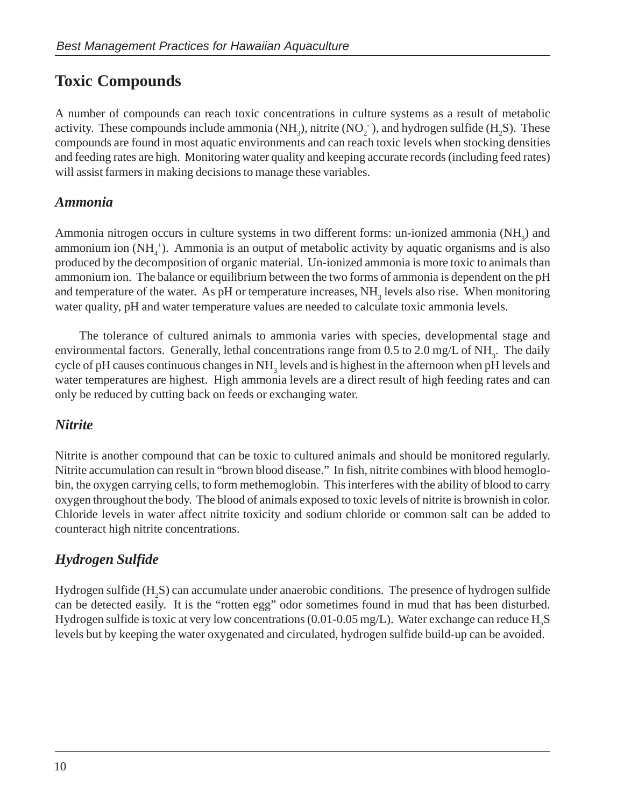### **Toxic Compounds**

A number of compounds can reach toxic concentrations in culture systems as a result of metabolic activity. These compounds include ammonia  $(NH_3)$ , nitrite  $(NO_2^-)$ , and hydrogen sulfide  $(H_2S)$ . These compounds are found in most aquatic environments and can reach toxic levels when stocking densities and feeding rates are high. Monitoring water quality and keeping accurate records (including feed rates) will assist farmers in making decisions to manage these variables.

#### *Ammonia*

Ammonia nitrogen occurs in culture systems in two different forms: un-ionized ammonia (NH<sub>3</sub>) and ammonium ion  $(NH_4^+)$ . Ammonia is an output of metabolic activity by aquatic organisms and is also produced by the decomposition of organic material. Un-ionized ammonia is more toxic to animals than ammonium ion. The balance or equilibrium between the two forms of ammonia is dependent on the pH and temperature of the water. As pH or temperature increases,  $NH<sub>3</sub>$  levels also rise. When monitoring water quality, pH and water temperature values are needed to calculate toxic ammonia levels.

The tolerance of cultured animals to ammonia varies with species, developmental stage and environmental factors. Generally, lethal concentrations range from  $0.5$  to  $2.0$  mg/L of NH<sub>3</sub>. The daily cycle of pH causes continuous changes in  $NH<sub>3</sub>$  levels and is highest in the afternoon when pH levels and water temperatures are highest. High ammonia levels are a direct result of high feeding rates and can only be reduced by cutting back on feeds or exchanging water.

#### *Nitrite*

Nitrite is another compound that can be toxic to cultured animals and should be monitored regularly. Nitrite accumulation can result in "brown blood disease." In fish, nitrite combines with blood hemoglobin, the oxygen carrying cells, to form methemoglobin. This interferes with the ability of blood to carry oxygen throughout the body. The blood of animals exposed to toxic levels of nitrite is brownish in color. Chloride levels in water affect nitrite toxicity and sodium chloride or common salt can be added to counteract high nitrite concentrations.

#### *Hydrogen Sulfide*

Hydrogen sulfide  $(H_2S)$  can accumulate under anaerobic conditions. The presence of hydrogen sulfide can be detected easily. It is the "rotten egg" odor sometimes found in mud that has been disturbed. Hydrogen sulfide is toxic at very low concentrations (0.01-0.05 mg/L). Water exchange can reduce  $\rm H_2S$ levels but by keeping the water oxygenated and circulated, hydrogen sulfide build-up can be avoided.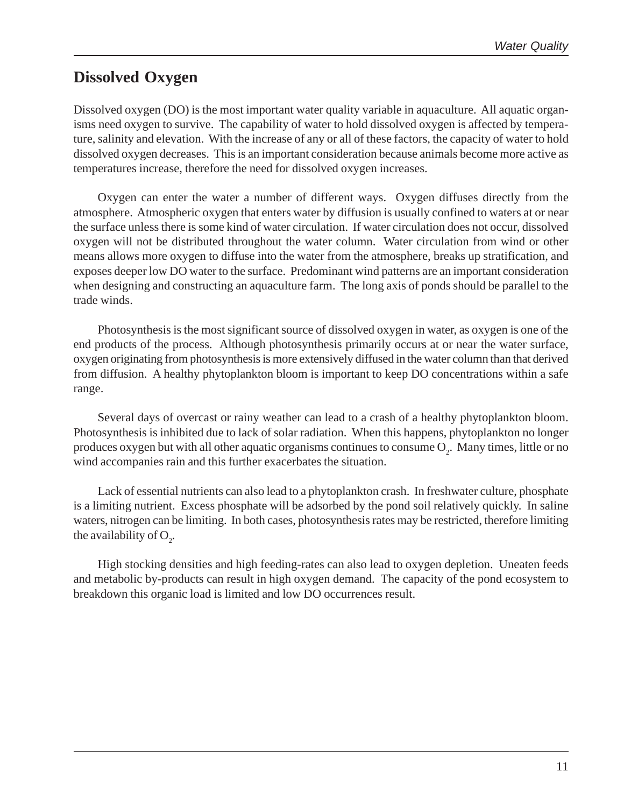#### **Dissolved Oxygen**

Dissolved oxygen (DO) is the most important water quality variable in aquaculture. All aquatic organisms need oxygen to survive. The capability of water to hold dissolved oxygen is affected by temperature, salinity and elevation. With the increase of any or all of these factors, the capacity of water to hold dissolved oxygen decreases. This is an important consideration because animals become more active as temperatures increase, therefore the need for dissolved oxygen increases.

Oxygen can enter the water a number of different ways. Oxygen diffuses directly from the atmosphere. Atmospheric oxygen that enters water by diffusion is usually confined to waters at or near the surface unless there is some kind of water circulation. If water circulation does not occur, dissolved oxygen will not be distributed throughout the water column. Water circulation from wind or other means allows more oxygen to diffuse into the water from the atmosphere, breaks up stratification, and exposes deeper low DO water to the surface. Predominant wind patterns are an important consideration when designing and constructing an aquaculture farm. The long axis of ponds should be parallel to the trade winds.

Photosynthesis is the most significant source of dissolved oxygen in water, as oxygen is one of the end products of the process. Although photosynthesis primarily occurs at or near the water surface, oxygen originating from photosynthesis is more extensively diffused in the water column than that derived from diffusion. A healthy phytoplankton bloom is important to keep DO concentrations within a safe range.

Several days of overcast or rainy weather can lead to a crash of a healthy phytoplankton bloom. Photosynthesis is inhibited due to lack of solar radiation. When this happens, phytoplankton no longer produces oxygen but with all other aquatic organisms continues to consume  $O_2$ . Many times, little or no wind accompanies rain and this further exacerbates the situation.

Lack of essential nutrients can also lead to a phytoplankton crash. In freshwater culture, phosphate is a limiting nutrient. Excess phosphate will be adsorbed by the pond soil relatively quickly. In saline waters, nitrogen can be limiting. In both cases, photosynthesis rates may be restricted, therefore limiting the availability of  $O_2$ .

High stocking densities and high feeding-rates can also lead to oxygen depletion. Uneaten feeds and metabolic by-products can result in high oxygen demand. The capacity of the pond ecosystem to breakdown this organic load is limited and low DO occurrences result.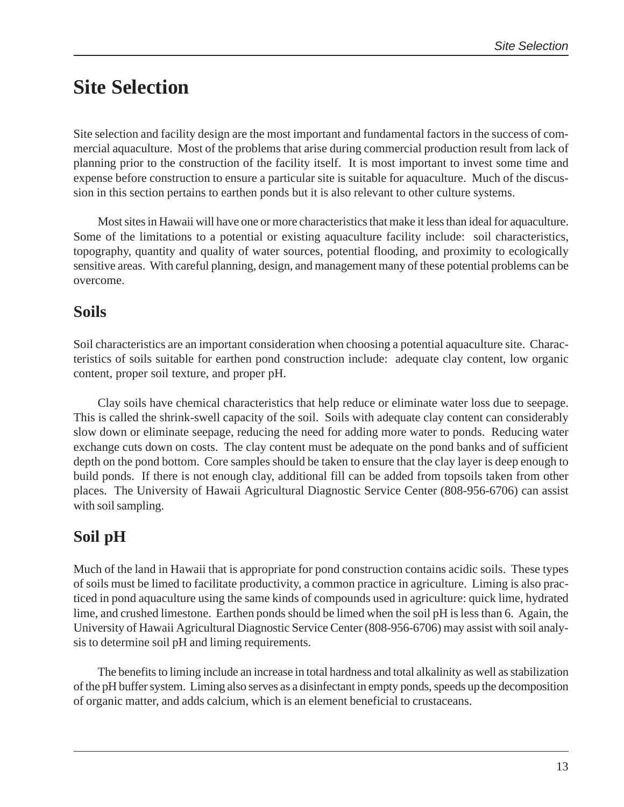## **Site Selection**

Site selection and facility design are the most important and fundamental factors in the success of commercial aquaculture. Most of the problems that arise during commercial production result from lack of planning prior to the construction of the facility itself. It is most important to invest some time and expense before construction to ensure a particular site is suitable for aquaculture. Much of the discussion in this section pertains to earthen ponds but it is also relevant to other culture systems.

Most sites in Hawaii will have one or more characteristics that make it less than ideal for aquaculture. Some of the limitations to a potential or existing aquaculture facility include: soil characteristics, topography, quantity and quality of water sources, potential flooding, and proximity to ecologically sensitive areas. With careful planning, design, and management many of these potential problems can be overcome.

#### **Soils**

Soil characteristics are an important consideration when choosing a potential aquaculture site. Characteristics of soils suitable for earthen pond construction include: adequate clay content, low organic content, proper soil texture, and proper pH.

Clay soils have chemical characteristics that help reduce or eliminate water loss due to seepage. This is called the shrink-swell capacity of the soil. Soils with adequate clay content can considerably slow down or eliminate seepage, reducing the need for adding more water to ponds. Reducing water exchange cuts down on costs. The clay content must be adequate on the pond banks and of sufficient depth on the pond bottom. Core samples should be taken to ensure that the clay layer is deep enough to build ponds. If there is not enough clay, additional fill can be added from topsoils taken from other places. The University of Hawaii Agricultural Diagnostic Service Center (808-956-6706) can assist with soil sampling.

### **Soil pH**

Much of the land in Hawaii that is appropriate for pond construction contains acidic soils. These types of soils must be limed to facilitate productivity, a common practice in agriculture. Liming is also practiced in pond aquaculture using the same kinds of compounds used in agriculture: quick lime, hydrated lime, and crushed limestone. Earthen ponds should be limed when the soil pH is less than 6. Again, the University of Hawaii Agricultural Diagnostic Service Center (808-956-6706) may assist with soil analysis to determine soil pH and liming requirements.

The benefits to liming include an increase in total hardness and total alkalinity as well as stabilization of the pH buffer system. Liming also serves as a disinfectant in empty ponds, speeds up the decomposition of organic matter, and adds calcium, which is an element beneficial to crustaceans.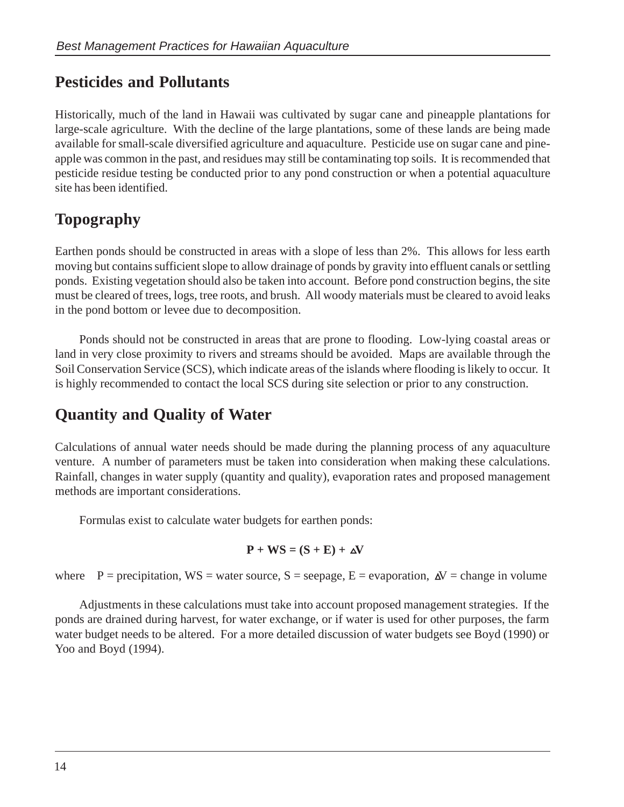### **Pesticides and Pollutants**

Historically, much of the land in Hawaii was cultivated by sugar cane and pineapple plantations for large-scale agriculture. With the decline of the large plantations, some of these lands are being made available for small-scale diversified agriculture and aquaculture. Pesticide use on sugar cane and pineapple was common in the past, and residues may still be contaminating top soils. It is recommended that pesticide residue testing be conducted prior to any pond construction or when a potential aquaculture site has been identified.

## **Topography**

Earthen ponds should be constructed in areas with a slope of less than 2%. This allows for less earth moving but contains sufficient slope to allow drainage of ponds by gravity into effluent canals or settling ponds. Existing vegetation should also be taken into account. Before pond construction begins, the site must be cleared of trees, logs, tree roots, and brush. All woody materials must be cleared to avoid leaks in the pond bottom or levee due to decomposition.

Ponds should not be constructed in areas that are prone to flooding. Low-lying coastal areas or land in very close proximity to rivers and streams should be avoided. Maps are available through the Soil Conservation Service (SCS), which indicate areas of the islands where flooding is likely to occur. It is highly recommended to contact the local SCS during site selection or prior to any construction.

### **Quantity and Quality of Water**

Calculations of annual water needs should be made during the planning process of any aquaculture venture. A number of parameters must be taken into consideration when making these calculations. Rainfall, changes in water supply (quantity and quality), evaporation rates and proposed management methods are important considerations.

Formulas exist to calculate water budgets for earthen ponds:

$$
P + WS = (S + E) + \Delta V
$$

where  $P =$  precipitation,  $WS =$  water source,  $S =$  seepage,  $E =$  evaporation,  $\Delta V =$  change in volume

Adjustments in these calculations must take into account proposed management strategies. If the ponds are drained during harvest, for water exchange, or if water is used for other purposes, the farm water budget needs to be altered. For a more detailed discussion of water budgets see Boyd (1990) or Yoo and Boyd (1994).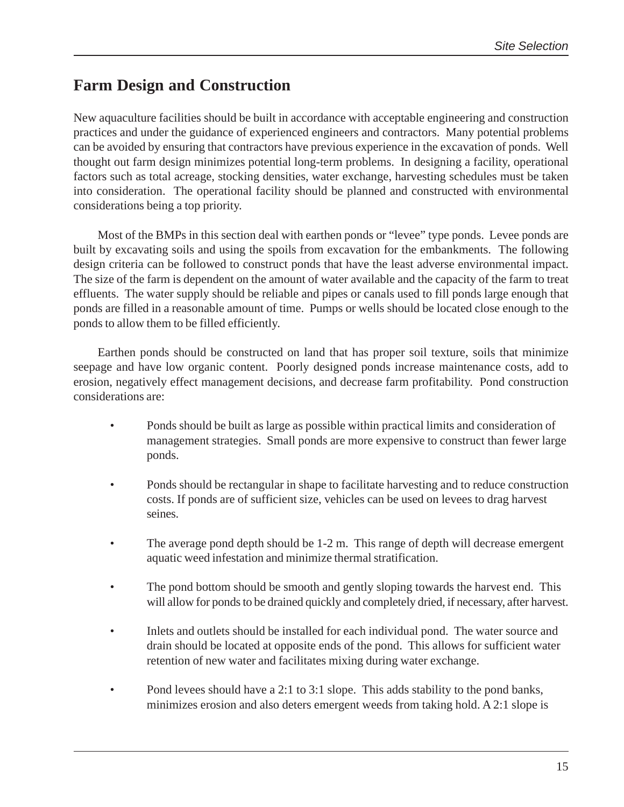### **Farm Design and Construction**

New aquaculture facilities should be built in accordance with acceptable engineering and construction practices and under the guidance of experienced engineers and contractors. Many potential problems can be avoided by ensuring that contractors have previous experience in the excavation of ponds. Well thought out farm design minimizes potential long-term problems. In designing a facility, operational factors such as total acreage, stocking densities, water exchange, harvesting schedules must be taken into consideration. The operational facility should be planned and constructed with environmental considerations being a top priority.

Most of the BMPs in this section deal with earthen ponds or "levee" type ponds. Levee ponds are built by excavating soils and using the spoils from excavation for the embankments. The following design criteria can be followed to construct ponds that have the least adverse environmental impact. The size of the farm is dependent on the amount of water available and the capacity of the farm to treat effluents. The water supply should be reliable and pipes or canals used to fill ponds large enough that ponds are filled in a reasonable amount of time. Pumps or wells should be located close enough to the ponds to allow them to be filled efficiently.

Earthen ponds should be constructed on land that has proper soil texture, soils that minimize seepage and have low organic content. Poorly designed ponds increase maintenance costs, add to erosion, negatively effect management decisions, and decrease farm profitability. Pond construction considerations are:

- Ponds should be built as large as possible within practical limits and consideration of management strategies. Small ponds are more expensive to construct than fewer large ponds.
- Ponds should be rectangular in shape to facilitate harvesting and to reduce construction costs. If ponds are of sufficient size, vehicles can be used on levees to drag harvest seines.
- The average pond depth should be 1-2 m. This range of depth will decrease emergent aquatic weed infestation and minimize thermal stratification.
- The pond bottom should be smooth and gently sloping towards the harvest end. This will allow for ponds to be drained quickly and completely dried, if necessary, after harvest.
- Inlets and outlets should be installed for each individual pond. The water source and drain should be located at opposite ends of the pond. This allows for sufficient water retention of new water and facilitates mixing during water exchange.
- Pond levees should have a 2:1 to 3:1 slope. This adds stability to the pond banks, minimizes erosion and also deters emergent weeds from taking hold. A 2:1 slope is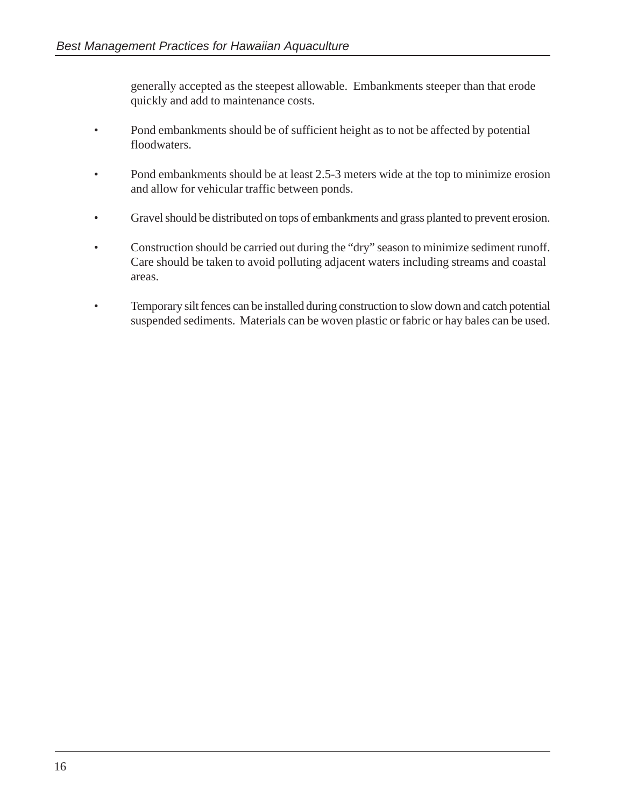generally accepted as the steepest allowable. Embankments steeper than that erode quickly and add to maintenance costs.

- Pond embankments should be of sufficient height as to not be affected by potential floodwaters.
- Pond embankments should be at least 2.5-3 meters wide at the top to minimize erosion and allow for vehicular traffic between ponds.
- Gravel should be distributed on tops of embankments and grass planted to prevent erosion.
- Construction should be carried out during the "dry" season to minimize sediment runoff. Care should be taken to avoid polluting adjacent waters including streams and coastal areas.
- Temporary silt fences can be installed during construction to slow down and catch potential suspended sediments. Materials can be woven plastic or fabric or hay bales can be used.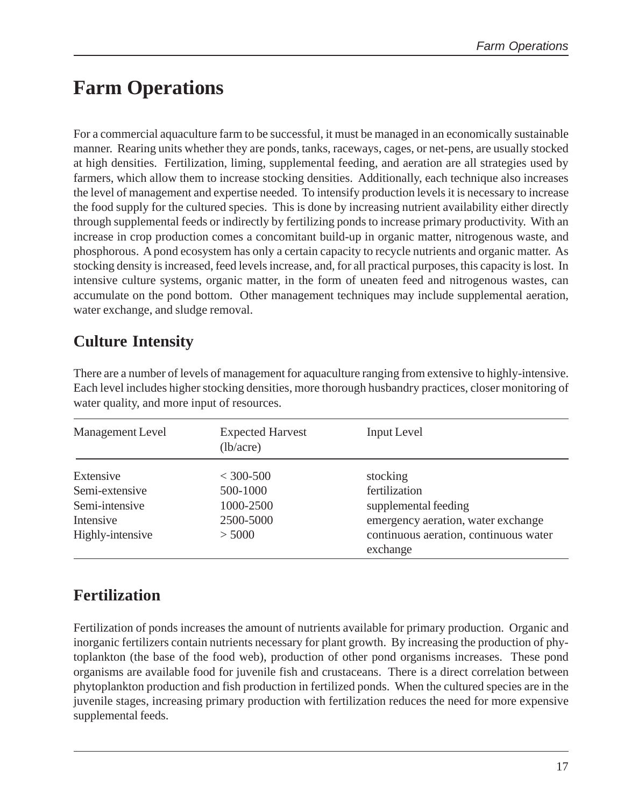## **Farm Operations**

For a commercial aquaculture farm to be successful, it must be managed in an economically sustainable manner. Rearing units whether they are ponds, tanks, raceways, cages, or net-pens, are usually stocked at high densities. Fertilization, liming, supplemental feeding, and aeration are all strategies used by farmers, which allow them to increase stocking densities. Additionally, each technique also increases the level of management and expertise needed. To intensify production levels it is necessary to increase the food supply for the cultured species. This is done by increasing nutrient availability either directly through supplemental feeds or indirectly by fertilizing ponds to increase primary productivity. With an increase in crop production comes a concomitant build-up in organic matter, nitrogenous waste, and phosphorous. A pond ecosystem has only a certain capacity to recycle nutrients and organic matter. As stocking density is increased, feed levels increase, and, for all practical purposes, this capacity is lost. In intensive culture systems, organic matter, in the form of uneaten feed and nitrogenous wastes, can accumulate on the pond bottom. Other management techniques may include supplemental aeration, water exchange, and sludge removal.

### **Culture Intensity**

There are a number of levels of management for aquaculture ranging from extensive to highly-intensive. Each level includes higher stocking densities, more thorough husbandry practices, closer monitoring of water quality, and more input of resources.

| Management Level                                                               | <b>Expected Harvest</b><br>(lb/acre)                        | <b>Input Level</b>                                                                                                                           |
|--------------------------------------------------------------------------------|-------------------------------------------------------------|----------------------------------------------------------------------------------------------------------------------------------------------|
| Extensive<br>Semi-extensive<br>Semi-intensive<br>Intensive<br>Highly-intensive | $<$ 300-500<br>500-1000<br>1000-2500<br>2500-5000<br>> 5000 | stocking<br>fertilization<br>supplemental feeding<br>emergency aeration, water exchange<br>continuous aeration, continuous water<br>exchange |

## **Fertilization**

Fertilization of ponds increases the amount of nutrients available for primary production. Organic and inorganic fertilizers contain nutrients necessary for plant growth. By increasing the production of phytoplankton (the base of the food web), production of other pond organisms increases. These pond organisms are available food for juvenile fish and crustaceans. There is a direct correlation between phytoplankton production and fish production in fertilized ponds. When the cultured species are in the juvenile stages, increasing primary production with fertilization reduces the need for more expensive supplemental feeds.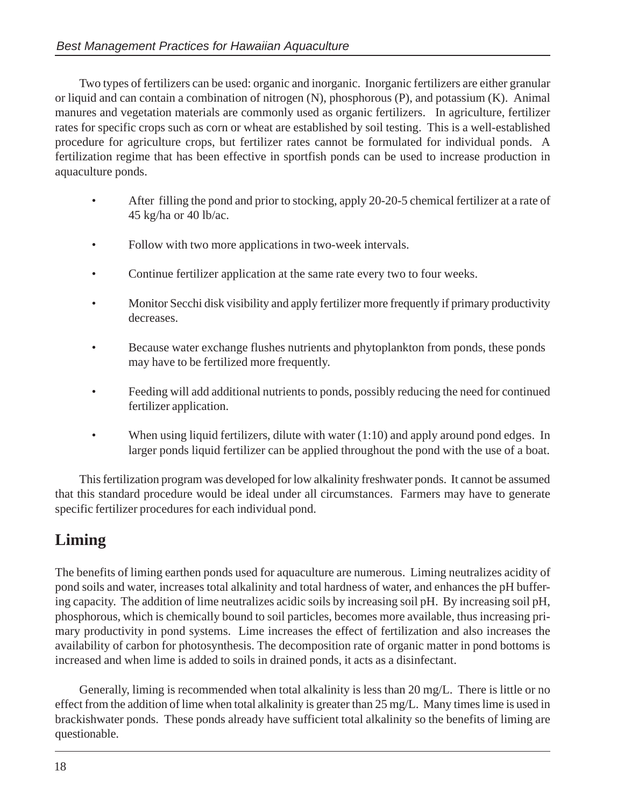Two types of fertilizers can be used: organic and inorganic. Inorganic fertilizers are either granular or liquid and can contain a combination of nitrogen (N), phosphorous (P), and potassium (K). Animal manures and vegetation materials are commonly used as organic fertilizers. In agriculture, fertilizer rates for specific crops such as corn or wheat are established by soil testing. This is a well-established procedure for agriculture crops, but fertilizer rates cannot be formulated for individual ponds. A fertilization regime that has been effective in sportfish ponds can be used to increase production in aquaculture ponds.

- After filling the pond and prior to stocking, apply 20-20-5 chemical fertilizer at a rate of 45 kg/ha or 40 lb/ac.
- Follow with two more applications in two-week intervals.
- Continue fertilizer application at the same rate every two to four weeks.
- Monitor Secchi disk visibility and apply fertilizer more frequently if primary productivity decreases.
- Because water exchange flushes nutrients and phytoplankton from ponds, these ponds may have to be fertilized more frequently.
- Feeding will add additional nutrients to ponds, possibly reducing the need for continued fertilizer application.
- When using liquid fertilizers, dilute with water  $(1:10)$  and apply around pond edges. In larger ponds liquid fertilizer can be applied throughout the pond with the use of a boat.

This fertilization program was developed for low alkalinity freshwater ponds. It cannot be assumed that this standard procedure would be ideal under all circumstances. Farmers may have to generate specific fertilizer procedures for each individual pond.

## **Liming**

The benefits of liming earthen ponds used for aquaculture are numerous. Liming neutralizes acidity of pond soils and water, increases total alkalinity and total hardness of water, and enhances the pH buffering capacity. The addition of lime neutralizes acidic soils by increasing soil pH. By increasing soil pH, phosphorous, which is chemically bound to soil particles, becomes more available, thus increasing primary productivity in pond systems. Lime increases the effect of fertilization and also increases the availability of carbon for photosynthesis. The decomposition rate of organic matter in pond bottoms is increased and when lime is added to soils in drained ponds, it acts as a disinfectant.

Generally, liming is recommended when total alkalinity is less than 20 mg/L. There is little or no effect from the addition of lime when total alkalinity is greater than 25 mg/L. Many times lime is used in brackishwater ponds. These ponds already have sufficient total alkalinity so the benefits of liming are questionable.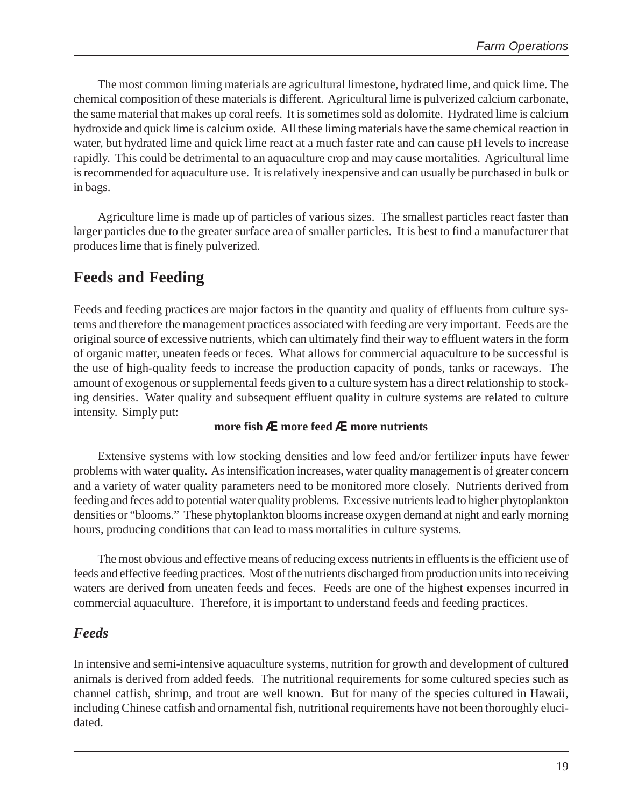The most common liming materials are agricultural limestone, hydrated lime, and quick lime. The chemical composition of these materials is different. Agricultural lime is pulverized calcium carbonate, the same material that makes up coral reefs. It is sometimes sold as dolomite. Hydrated lime is calcium hydroxide and quick lime is calcium oxide. All these liming materials have the same chemical reaction in water, but hydrated lime and quick lime react at a much faster rate and can cause pH levels to increase rapidly. This could be detrimental to an aquaculture crop and may cause mortalities. Agricultural lime is recommended for aquaculture use. It is relatively inexpensive and can usually be purchased in bulk or in bags.

Agriculture lime is made up of particles of various sizes. The smallest particles react faster than larger particles due to the greater surface area of smaller particles. It is best to find a manufacturer that produces lime that is finely pulverized.

#### **Feeds and Feeding**

Feeds and feeding practices are major factors in the quantity and quality of effluents from culture systems and therefore the management practices associated with feeding are very important. Feeds are the original source of excessive nutrients, which can ultimately find their way to effluent waters in the form of organic matter, uneaten feeds or feces. What allows for commercial aquaculture to be successful is the use of high-quality feeds to increase the production capacity of ponds, tanks or raceways. The amount of exogenous or supplemental feeds given to a culture system has a direct relationship to stocking densities. Water quality and subsequent effluent quality in culture systems are related to culture intensity. Simply put:

#### **more fish** Æ **more feed** Æ **more nutrients**

Extensive systems with low stocking densities and low feed and/or fertilizer inputs have fewer problems with water quality. As intensification increases, water quality management is of greater concern and a variety of water quality parameters need to be monitored more closely. Nutrients derived from feeding and feces add to potential water quality problems. Excessive nutrients lead to higher phytoplankton densities or "blooms." These phytoplankton blooms increase oxygen demand at night and early morning hours, producing conditions that can lead to mass mortalities in culture systems.

The most obvious and effective means of reducing excess nutrients in effluents is the efficient use of feeds and effective feeding practices. Most of the nutrients discharged from production units into receiving waters are derived from uneaten feeds and feces. Feeds are one of the highest expenses incurred in commercial aquaculture. Therefore, it is important to understand feeds and feeding practices.

#### *Feeds*

In intensive and semi-intensive aquaculture systems, nutrition for growth and development of cultured animals is derived from added feeds. The nutritional requirements for some cultured species such as channel catfish, shrimp, and trout are well known. But for many of the species cultured in Hawaii, including Chinese catfish and ornamental fish, nutritional requirements have not been thoroughly elucidated.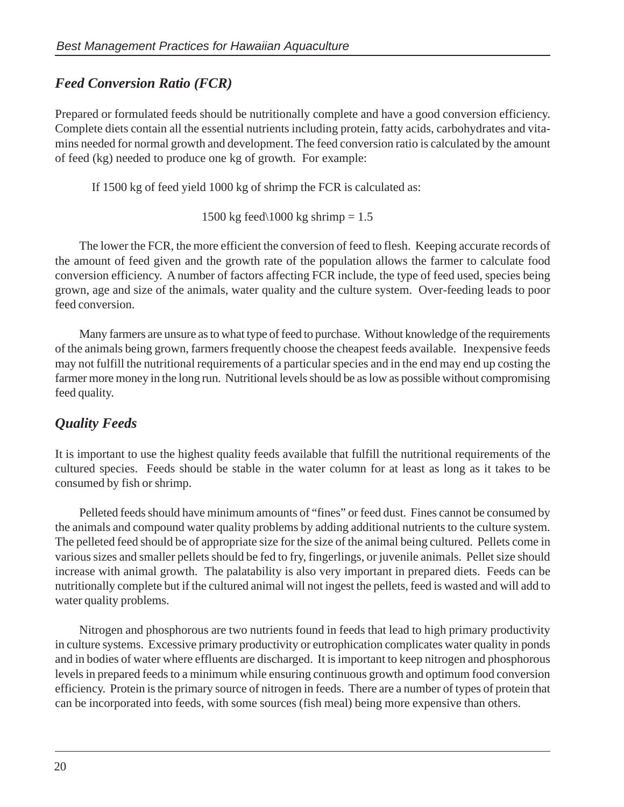#### *Feed Conversion Ratio (FCR)*

Prepared or formulated feeds should be nutritionally complete and have a good conversion efficiency. Complete diets contain all the essential nutrients including protein, fatty acids, carbohydrates and vitamins needed for normal growth and development. The feed conversion ratio is calculated by the amount of feed (kg) needed to produce one kg of growth. For example:

If 1500 kg of feed yield 1000 kg of shrimp the FCR is calculated as:

1500 kg feed $\setminus$ 1000 kg shrimp = 1.5

The lower the FCR, the more efficient the conversion of feed to flesh. Keeping accurate records of the amount of feed given and the growth rate of the population allows the farmer to calculate food conversion efficiency. A number of factors affecting FCR include, the type of feed used, species being grown, age and size of the animals, water quality and the culture system. Over-feeding leads to poor feed conversion.

Many farmers are unsure as to what type of feed to purchase. Without knowledge of the requirements of the animals being grown, farmers frequently choose the cheapest feeds available. Inexpensive feeds may not fulfill the nutritional requirements of a particular species and in the end may end up costing the farmer more money in the long run. Nutritional levels should be as low as possible without compromising feed quality.

#### *Quality Feeds*

It is important to use the highest quality feeds available that fulfill the nutritional requirements of the cultured species. Feeds should be stable in the water column for at least as long as it takes to be consumed by fish or shrimp.

Pelleted feeds should have minimum amounts of "fines" or feed dust. Fines cannot be consumed by the animals and compound water quality problems by adding additional nutrients to the culture system. The pelleted feed should be of appropriate size for the size of the animal being cultured. Pellets come in various sizes and smaller pellets should be fed to fry, fingerlings, or juvenile animals. Pellet size should increase with animal growth. The palatability is also very important in prepared diets. Feeds can be nutritionally complete but if the cultured animal will not ingest the pellets, feed is wasted and will add to water quality problems.

Nitrogen and phosphorous are two nutrients found in feeds that lead to high primary productivity in culture systems. Excessive primary productivity or eutrophication complicates water quality in ponds and in bodies of water where effluents are discharged. It is important to keep nitrogen and phosphorous levels in prepared feeds to a minimum while ensuring continuous growth and optimum food conversion efficiency. Protein is the primary source of nitrogen in feeds. There are a number of types of protein that can be incorporated into feeds, with some sources (fish meal) being more expensive than others.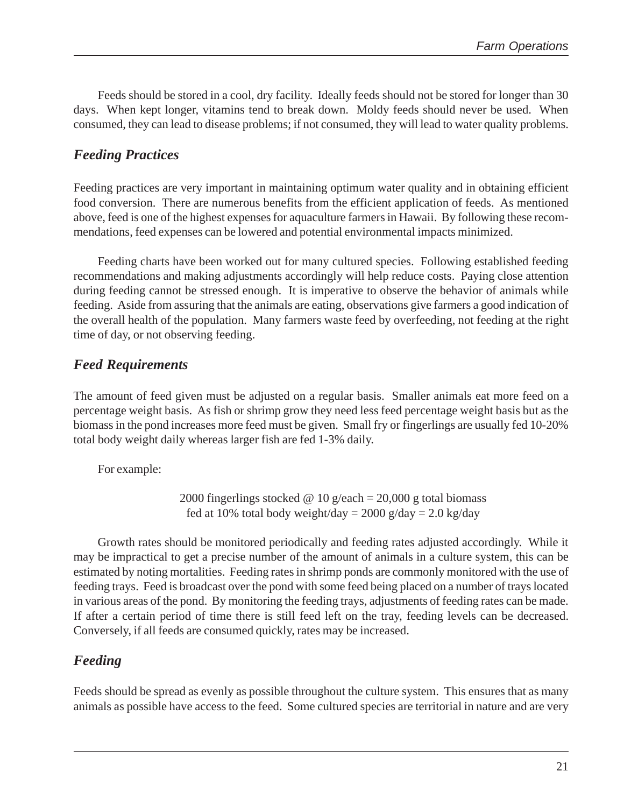Feeds should be stored in a cool, dry facility. Ideally feeds should not be stored for longer than 30 days. When kept longer, vitamins tend to break down. Moldy feeds should never be used. When consumed, they can lead to disease problems; if not consumed, they will lead to water quality problems.

#### *Feeding Practices*

Feeding practices are very important in maintaining optimum water quality and in obtaining efficient food conversion. There are numerous benefits from the efficient application of feeds. As mentioned above, feed is one of the highest expenses for aquaculture farmers in Hawaii. By following these recommendations, feed expenses can be lowered and potential environmental impacts minimized.

Feeding charts have been worked out for many cultured species. Following established feeding recommendations and making adjustments accordingly will help reduce costs. Paying close attention during feeding cannot be stressed enough. It is imperative to observe the behavior of animals while feeding. Aside from assuring that the animals are eating, observations give farmers a good indication of the overall health of the population. Many farmers waste feed by overfeeding, not feeding at the right time of day, or not observing feeding.

#### *Feed Requirements*

The amount of feed given must be adjusted on a regular basis. Smaller animals eat more feed on a percentage weight basis. As fish or shrimp grow they need less feed percentage weight basis but as the biomass in the pond increases more feed must be given. Small fry or fingerlings are usually fed 10-20% total body weight daily whereas larger fish are fed 1-3% daily.

For example:

2000 fingerlings stocked @ 10 g/each = 20,000 g total biomass fed at 10% total body weight/day =  $2000$  g/day =  $2.0$  kg/day

Growth rates should be monitored periodically and feeding rates adjusted accordingly. While it may be impractical to get a precise number of the amount of animals in a culture system, this can be estimated by noting mortalities. Feeding rates in shrimp ponds are commonly monitored with the use of feeding trays. Feed is broadcast over the pond with some feed being placed on a number of trays located in various areas of the pond. By monitoring the feeding trays, adjustments of feeding rates can be made. If after a certain period of time there is still feed left on the tray, feeding levels can be decreased. Conversely, if all feeds are consumed quickly, rates may be increased.

#### *Feeding*

Feeds should be spread as evenly as possible throughout the culture system. This ensures that as many animals as possible have access to the feed. Some cultured species are territorial in nature and are very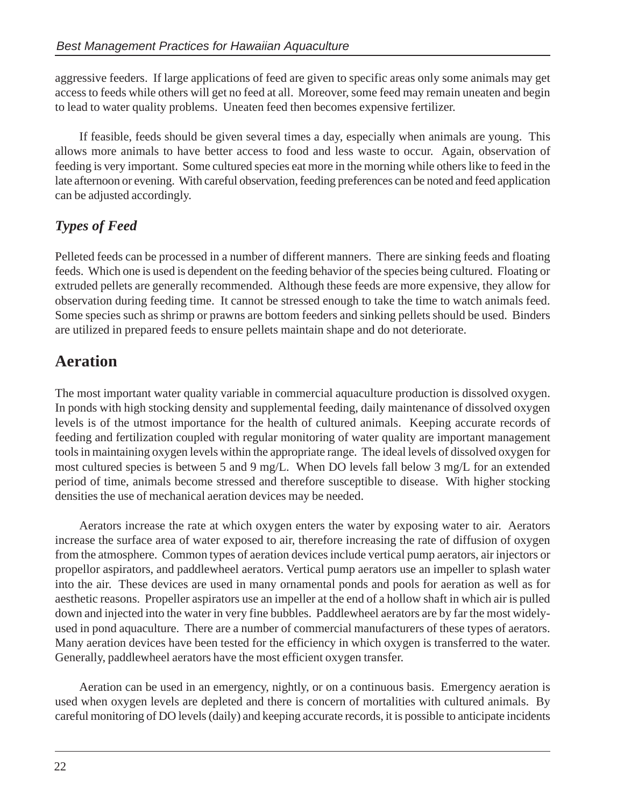aggressive feeders. If large applications of feed are given to specific areas only some animals may get access to feeds while others will get no feed at all. Moreover, some feed may remain uneaten and begin to lead to water quality problems. Uneaten feed then becomes expensive fertilizer.

If feasible, feeds should be given several times a day, especially when animals are young. This allows more animals to have better access to food and less waste to occur. Again, observation of feeding is very important. Some cultured species eat more in the morning while others like to feed in the late afternoon or evening. With careful observation, feeding preferences can be noted and feed application can be adjusted accordingly.

#### *Types of Feed*

Pelleted feeds can be processed in a number of different manners. There are sinking feeds and floating feeds. Which one is used is dependent on the feeding behavior of the species being cultured. Floating or extruded pellets are generally recommended. Although these feeds are more expensive, they allow for observation during feeding time. It cannot be stressed enough to take the time to watch animals feed. Some species such as shrimp or prawns are bottom feeders and sinking pellets should be used. Binders are utilized in prepared feeds to ensure pellets maintain shape and do not deteriorate.

#### **Aeration**

The most important water quality variable in commercial aquaculture production is dissolved oxygen. In ponds with high stocking density and supplemental feeding, daily maintenance of dissolved oxygen levels is of the utmost importance for the health of cultured animals. Keeping accurate records of feeding and fertilization coupled with regular monitoring of water quality are important management tools in maintaining oxygen levels within the appropriate range. The ideal levels of dissolved oxygen for most cultured species is between 5 and 9 mg/L. When DO levels fall below 3 mg/L for an extended period of time, animals become stressed and therefore susceptible to disease. With higher stocking densities the use of mechanical aeration devices may be needed.

Aerators increase the rate at which oxygen enters the water by exposing water to air. Aerators increase the surface area of water exposed to air, therefore increasing the rate of diffusion of oxygen from the atmosphere. Common types of aeration devices include vertical pump aerators, air injectors or propellor aspirators, and paddlewheel aerators. Vertical pump aerators use an impeller to splash water into the air. These devices are used in many ornamental ponds and pools for aeration as well as for aesthetic reasons. Propeller aspirators use an impeller at the end of a hollow shaft in which air is pulled down and injected into the water in very fine bubbles. Paddlewheel aerators are by far the most widelyused in pond aquaculture. There are a number of commercial manufacturers of these types of aerators. Many aeration devices have been tested for the efficiency in which oxygen is transferred to the water. Generally, paddlewheel aerators have the most efficient oxygen transfer.

Aeration can be used in an emergency, nightly, or on a continuous basis. Emergency aeration is used when oxygen levels are depleted and there is concern of mortalities with cultured animals. By careful monitoring of DO levels (daily) and keeping accurate records, it is possible to anticipate incidents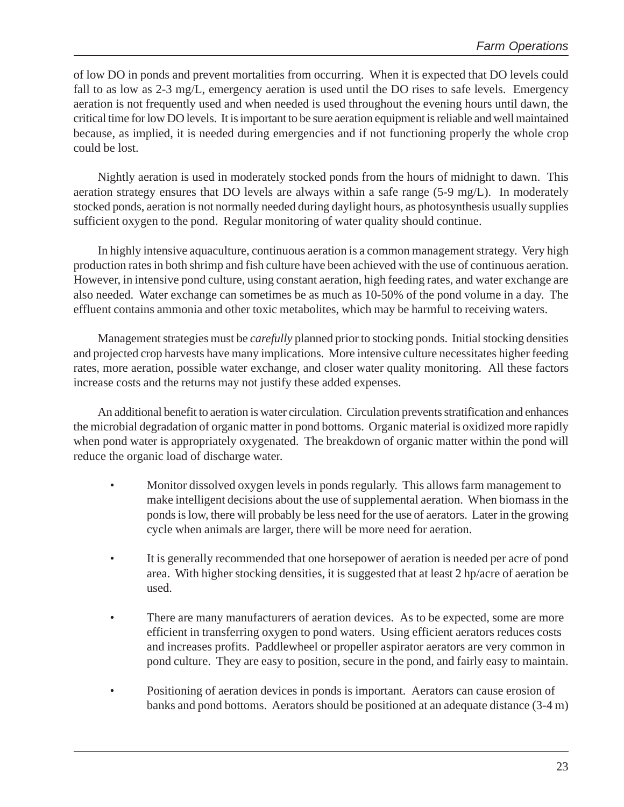of low DO in ponds and prevent mortalities from occurring. When it is expected that DO levels could fall to as low as 2-3 mg/L, emergency aeration is used until the DO rises to safe levels. Emergency aeration is not frequently used and when needed is used throughout the evening hours until dawn, the critical time for low DO levels. It is important to be sure aeration equipment is reliable and well maintained because, as implied, it is needed during emergencies and if not functioning properly the whole crop could be lost.

Nightly aeration is used in moderately stocked ponds from the hours of midnight to dawn. This aeration strategy ensures that DO levels are always within a safe range (5-9 mg/L). In moderately stocked ponds, aeration is not normally needed during daylight hours, as photosynthesis usually supplies sufficient oxygen to the pond. Regular monitoring of water quality should continue.

In highly intensive aquaculture, continuous aeration is a common management strategy. Very high production rates in both shrimp and fish culture have been achieved with the use of continuous aeration. However, in intensive pond culture, using constant aeration, high feeding rates, and water exchange are also needed. Water exchange can sometimes be as much as 10-50% of the pond volume in a day. The effluent contains ammonia and other toxic metabolites, which may be harmful to receiving waters.

Management strategies must be *carefully* planned prior to stocking ponds. Initial stocking densities and projected crop harvests have many implications. More intensive culture necessitates higher feeding rates, more aeration, possible water exchange, and closer water quality monitoring. All these factors increase costs and the returns may not justify these added expenses.

An additional benefit to aeration is water circulation. Circulation prevents stratification and enhances the microbial degradation of organic matter in pond bottoms. Organic material is oxidized more rapidly when pond water is appropriately oxygenated. The breakdown of organic matter within the pond will reduce the organic load of discharge water.

- Monitor dissolved oxygen levels in ponds regularly. This allows farm management to make intelligent decisions about the use of supplemental aeration. When biomass in the ponds is low, there will probably be less need for the use of aerators. Later in the growing cycle when animals are larger, there will be more need for aeration.
- It is generally recommended that one horsepower of aeration is needed per acre of pond area. With higher stocking densities, it is suggested that at least 2 hp/acre of aeration be used.
- There are many manufacturers of aeration devices. As to be expected, some are more efficient in transferring oxygen to pond waters. Using efficient aerators reduces costs and increases profits. Paddlewheel or propeller aspirator aerators are very common in pond culture. They are easy to position, secure in the pond, and fairly easy to maintain.
- Positioning of aeration devices in ponds is important. Aerators can cause erosion of banks and pond bottoms. Aerators should be positioned at an adequate distance (3-4 m)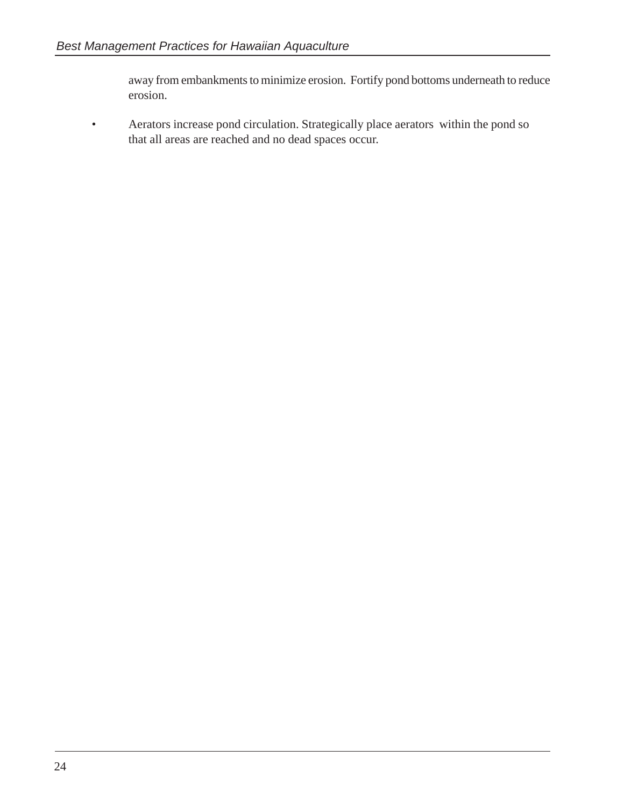away from embankments to minimize erosion. Fortify pond bottoms underneath to reduce erosion.

• Aerators increase pond circulation. Strategically place aerators within the pond so that all areas are reached and no dead spaces occur.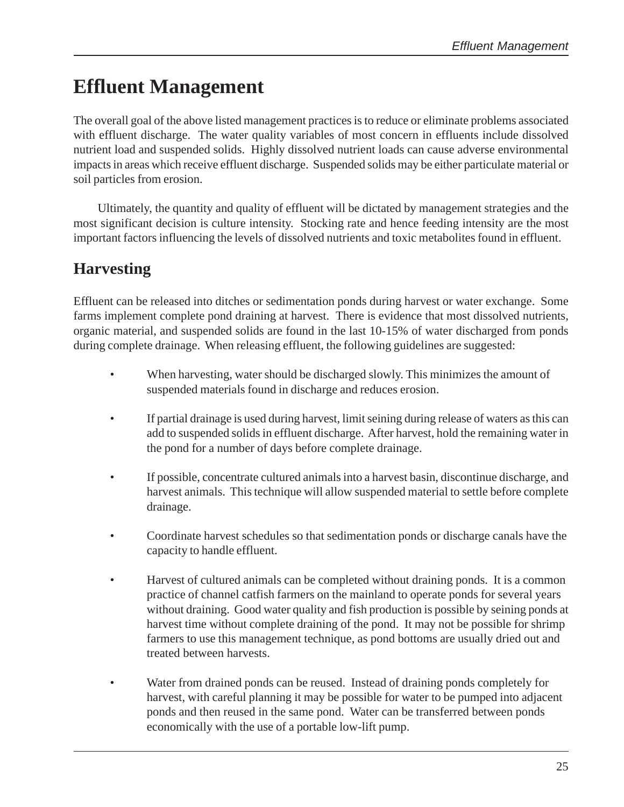## **Effluent Management**

The overall goal of the above listed management practices is to reduce or eliminate problems associated with effluent discharge. The water quality variables of most concern in effluents include dissolved nutrient load and suspended solids. Highly dissolved nutrient loads can cause adverse environmental impacts in areas which receive effluent discharge. Suspended solids may be either particulate material or soil particles from erosion.

Ultimately, the quantity and quality of effluent will be dictated by management strategies and the most significant decision is culture intensity. Stocking rate and hence feeding intensity are the most important factors influencing the levels of dissolved nutrients and toxic metabolites found in effluent.

## **Harvesting**

Effluent can be released into ditches or sedimentation ponds during harvest or water exchange. Some farms implement complete pond draining at harvest. There is evidence that most dissolved nutrients, organic material, and suspended solids are found in the last 10-15% of water discharged from ponds during complete drainage. When releasing effluent, the following guidelines are suggested:

- When harvesting, water should be discharged slowly. This minimizes the amount of suspended materials found in discharge and reduces erosion.
- If partial drainage is used during harvest, limit seining during release of waters as this can add to suspended solids in effluent discharge. After harvest, hold the remaining water in the pond for a number of days before complete drainage.
- If possible, concentrate cultured animals into a harvest basin, discontinue discharge, and harvest animals. This technique will allow suspended material to settle before complete drainage.
- Coordinate harvest schedules so that sedimentation ponds or discharge canals have the capacity to handle effluent.
- Harvest of cultured animals can be completed without draining ponds. It is a common practice of channel catfish farmers on the mainland to operate ponds for several years without draining. Good water quality and fish production is possible by seining ponds at harvest time without complete draining of the pond. It may not be possible for shrimp farmers to use this management technique, as pond bottoms are usually dried out and treated between harvests.
- Water from drained ponds can be reused. Instead of draining ponds completely for harvest, with careful planning it may be possible for water to be pumped into adjacent ponds and then reused in the same pond. Water can be transferred between ponds economically with the use of a portable low-lift pump.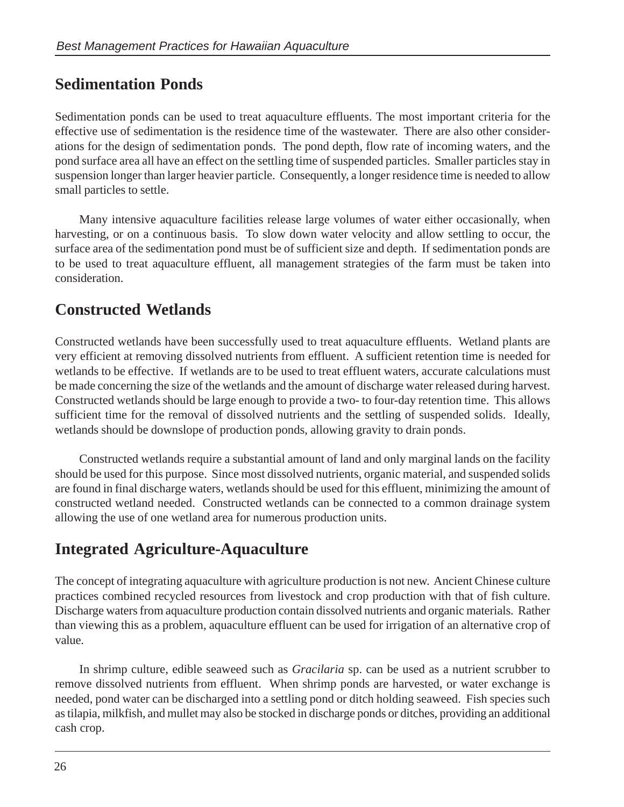#### **Sedimentation Ponds**

Sedimentation ponds can be used to treat aquaculture effluents. The most important criteria for the effective use of sedimentation is the residence time of the wastewater. There are also other considerations for the design of sedimentation ponds. The pond depth, flow rate of incoming waters, and the pond surface area all have an effect on the settling time of suspended particles. Smaller particles stay in suspension longer than larger heavier particle. Consequently, a longer residence time is needed to allow small particles to settle.

Many intensive aquaculture facilities release large volumes of water either occasionally, when harvesting, or on a continuous basis. To slow down water velocity and allow settling to occur, the surface area of the sedimentation pond must be of sufficient size and depth. If sedimentation ponds are to be used to treat aquaculture effluent, all management strategies of the farm must be taken into consideration.

#### **Constructed Wetlands**

Constructed wetlands have been successfully used to treat aquaculture effluents. Wetland plants are very efficient at removing dissolved nutrients from effluent. A sufficient retention time is needed for wetlands to be effective. If wetlands are to be used to treat effluent waters, accurate calculations must be made concerning the size of the wetlands and the amount of discharge water released during harvest. Constructed wetlands should be large enough to provide a two- to four-day retention time. This allows sufficient time for the removal of dissolved nutrients and the settling of suspended solids. Ideally, wetlands should be downslope of production ponds, allowing gravity to drain ponds.

Constructed wetlands require a substantial amount of land and only marginal lands on the facility should be used for this purpose. Since most dissolved nutrients, organic material, and suspended solids are found in final discharge waters, wetlands should be used for this effluent, minimizing the amount of constructed wetland needed. Constructed wetlands can be connected to a common drainage system allowing the use of one wetland area for numerous production units.

### **Integrated Agriculture-Aquaculture**

The concept of integrating aquaculture with agriculture production is not new. Ancient Chinese culture practices combined recycled resources from livestock and crop production with that of fish culture. Discharge waters from aquaculture production contain dissolved nutrients and organic materials. Rather than viewing this as a problem, aquaculture effluent can be used for irrigation of an alternative crop of value.

In shrimp culture, edible seaweed such as *Gracilaria* sp. can be used as a nutrient scrubber to remove dissolved nutrients from effluent. When shrimp ponds are harvested, or water exchange is needed, pond water can be discharged into a settling pond or ditch holding seaweed. Fish species such as tilapia, milkfish, and mullet may also be stocked in discharge ponds or ditches, providing an additional cash crop.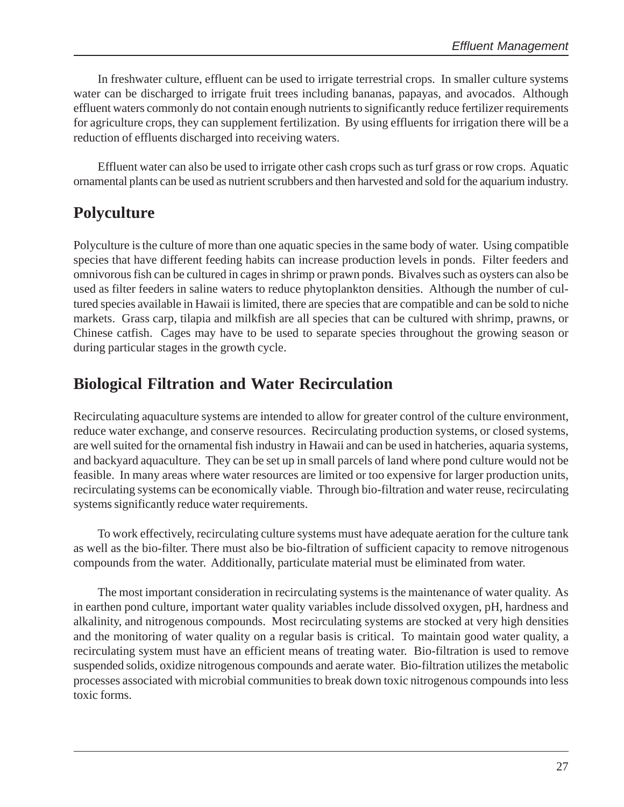In freshwater culture, effluent can be used to irrigate terrestrial crops. In smaller culture systems water can be discharged to irrigate fruit trees including bananas, papayas, and avocados. Although effluent waters commonly do not contain enough nutrients to significantly reduce fertilizer requirements for agriculture crops, they can supplement fertilization. By using effluents for irrigation there will be a reduction of effluents discharged into receiving waters.

Effluent water can also be used to irrigate other cash crops such as turf grass or row crops. Aquatic ornamental plants can be used as nutrient scrubbers and then harvested and sold for the aquarium industry.

### **Polyculture**

Polyculture is the culture of more than one aquatic species in the same body of water. Using compatible species that have different feeding habits can increase production levels in ponds. Filter feeders and omnivorous fish can be cultured in cages in shrimp or prawn ponds. Bivalves such as oysters can also be used as filter feeders in saline waters to reduce phytoplankton densities. Although the number of cultured species available in Hawaii is limited, there are species that are compatible and can be sold to niche markets. Grass carp, tilapia and milkfish are all species that can be cultured with shrimp, prawns, or Chinese catfish. Cages may have to be used to separate species throughout the growing season or during particular stages in the growth cycle.

### **Biological Filtration and Water Recirculation**

Recirculating aquaculture systems are intended to allow for greater control of the culture environment, reduce water exchange, and conserve resources. Recirculating production systems, or closed systems, are well suited for the ornamental fish industry in Hawaii and can be used in hatcheries, aquaria systems, and backyard aquaculture. They can be set up in small parcels of land where pond culture would not be feasible. In many areas where water resources are limited or too expensive for larger production units, recirculating systems can be economically viable. Through bio-filtration and water reuse, recirculating systems significantly reduce water requirements.

To work effectively, recirculating culture systems must have adequate aeration for the culture tank as well as the bio-filter. There must also be bio-filtration of sufficient capacity to remove nitrogenous compounds from the water. Additionally, particulate material must be eliminated from water.

The most important consideration in recirculating systems is the maintenance of water quality. As in earthen pond culture, important water quality variables include dissolved oxygen, pH, hardness and alkalinity, and nitrogenous compounds. Most recirculating systems are stocked at very high densities and the monitoring of water quality on a regular basis is critical. To maintain good water quality, a recirculating system must have an efficient means of treating water. Bio-filtration is used to remove suspended solids, oxidize nitrogenous compounds and aerate water. Bio-filtration utilizes the metabolic processes associated with microbial communities to break down toxic nitrogenous compounds into less toxic forms.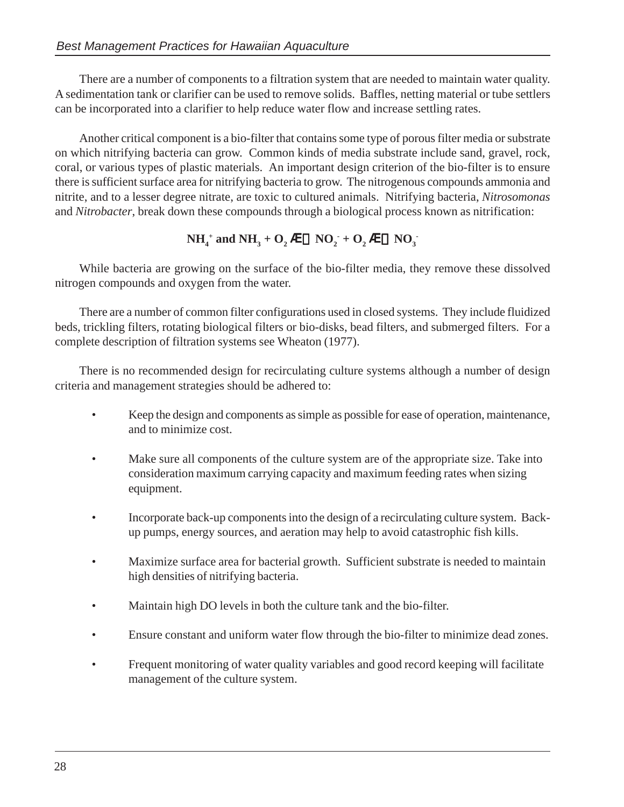There are a number of components to a filtration system that are needed to maintain water quality. A sedimentation tank or clarifier can be used to remove solids. Baffles, netting material or tube settlers can be incorporated into a clarifier to help reduce water flow and increase settling rates.

Another critical component is a bio-filter that contains some type of porous filter media or substrate on which nitrifying bacteria can grow. Common kinds of media substrate include sand, gravel, rock, coral, or various types of plastic materials. An important design criterion of the bio-filter is to ensure there is sufficient surface area for nitrifying bacteria to grow. The nitrogenous compounds ammonia and nitrite, and to a lesser degree nitrate, are toxic to cultured animals. Nitrifying bacteria, *Nitrosomonas* and *Nitrobacter*, break down these compounds through a biological process known as nitrification:

$$
NH_4^+
$$
 and  $NH_3 + O_2 \hat{a} \cdot NO_2 + O_2 \hat{a} \cdot NO_3$ 

While bacteria are growing on the surface of the bio-filter media, they remove these dissolved nitrogen compounds and oxygen from the water.

There are a number of common filter configurations used in closed systems. They include fluidized beds, trickling filters, rotating biological filters or bio-disks, bead filters, and submerged filters. For a complete description of filtration systems see Wheaton (1977).

There is no recommended design for recirculating culture systems although a number of design criteria and management strategies should be adhered to:

- Keep the design and components as simple as possible for ease of operation, maintenance, and to minimize cost.
- Make sure all components of the culture system are of the appropriate size. Take into consideration maximum carrying capacity and maximum feeding rates when sizing equipment.
- Incorporate back-up components into the design of a recirculating culture system. Backup pumps, energy sources, and aeration may help to avoid catastrophic fish kills.
- Maximize surface area for bacterial growth. Sufficient substrate is needed to maintain high densities of nitrifying bacteria.
- Maintain high DO levels in both the culture tank and the bio-filter.
- Ensure constant and uniform water flow through the bio-filter to minimize dead zones.
- Frequent monitoring of water quality variables and good record keeping will facilitate management of the culture system.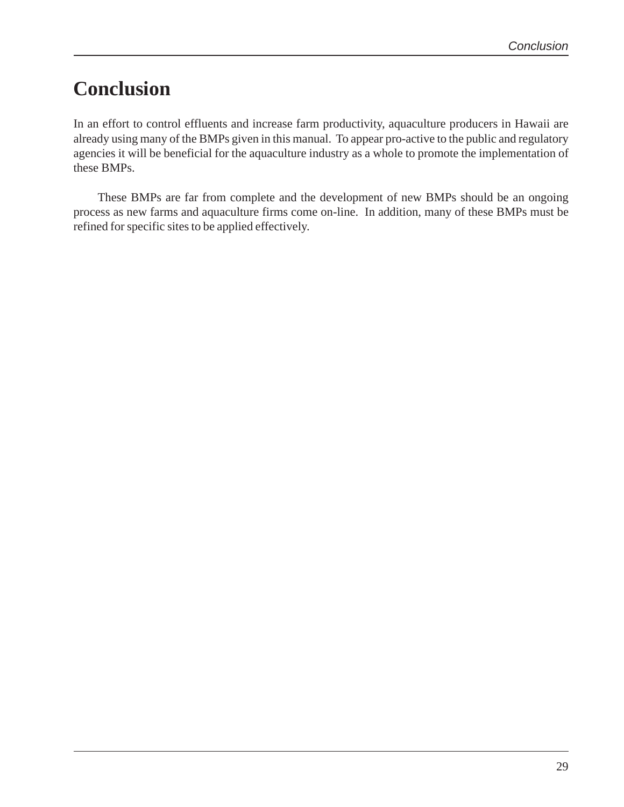## **Conclusion**

In an effort to control effluents and increase farm productivity, aquaculture producers in Hawaii are already using many of the BMPs given in this manual. To appear pro-active to the public and regulatory agencies it will be beneficial for the aquaculture industry as a whole to promote the implementation of these BMPs.

These BMPs are far from complete and the development of new BMPs should be an ongoing process as new farms and aquaculture firms come on-line. In addition, many of these BMPs must be refined for specific sites to be applied effectively.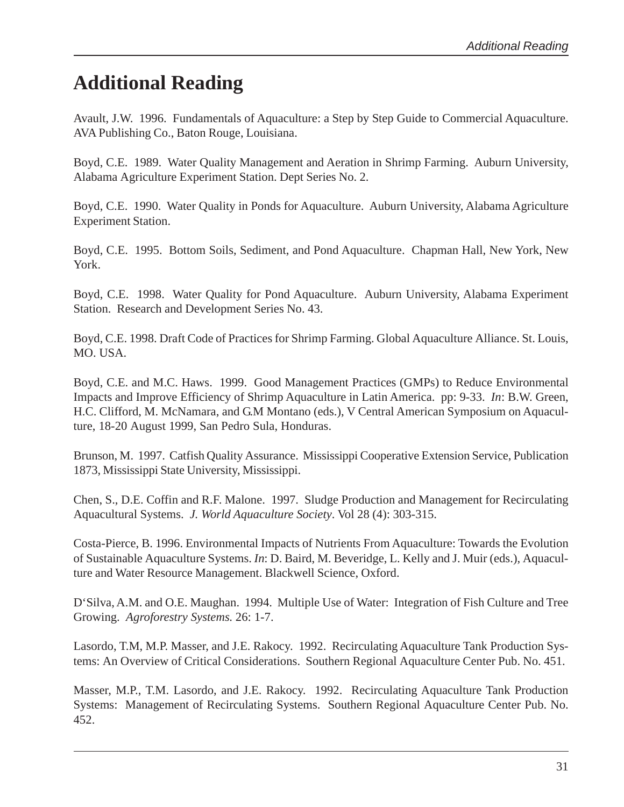## **Additional Reading**

Avault, J.W. 1996. Fundamentals of Aquaculture: a Step by Step Guide to Commercial Aquaculture. AVA Publishing Co., Baton Rouge, Louisiana.

Boyd, C.E. 1989. Water Quality Management and Aeration in Shrimp Farming. Auburn University, Alabama Agriculture Experiment Station. Dept Series No. 2.

Boyd, C.E. 1990. Water Quality in Ponds for Aquaculture. Auburn University, Alabama Agriculture Experiment Station.

Boyd, C.E. 1995. Bottom Soils, Sediment, and Pond Aquaculture. Chapman Hall, New York, New York.

Boyd, C.E. 1998. Water Quality for Pond Aquaculture. Auburn University, Alabama Experiment Station. Research and Development Series No. 43.

Boyd, C.E. 1998. Draft Code of Practices for Shrimp Farming. Global Aquaculture Alliance. St. Louis, MO. USA.

Boyd, C.E. and M.C. Haws. 1999. Good Management Practices (GMPs) to Reduce Environmental Impacts and Improve Efficiency of Shrimp Aquaculture in Latin America. pp: 9-33. *In*: B.W. Green, H.C. Clifford, M. McNamara, and G.M Montano (eds.), V Central American Symposium on Aquaculture, 18-20 August 1999, San Pedro Sula, Honduras.

Brunson, M. 1997. Catfish Quality Assurance. Mississippi Cooperative Extension Service, Publication 1873, Mississippi State University, Mississippi.

Chen, S., D.E. Coffin and R.F. Malone. 1997. Sludge Production and Management for Recirculating Aquacultural Systems. *J. World Aquaculture Society*. Vol 28 (4): 303-315.

Costa-Pierce, B. 1996. Environmental Impacts of Nutrients From Aquaculture: Towards the Evolution of Sustainable Aquaculture Systems. *In*: D. Baird, M. Beveridge, L. Kelly and J. Muir (eds.), Aquaculture and Water Resource Management. Blackwell Science, Oxford.

D'Silva, A.M. and O.E. Maughan. 1994. Multiple Use of Water: Integration of Fish Culture and Tree Growing. *Agroforestry Systems*. 26: 1-7.

Lasordo, T.M, M.P. Masser, and J.E. Rakocy. 1992. Recirculating Aquaculture Tank Production Systems: An Overview of Critical Considerations. Southern Regional Aquaculture Center Pub. No. 451.

Masser, M.P., T.M. Lasordo, and J.E. Rakocy. 1992. Recirculating Aquaculture Tank Production Systems: Management of Recirculating Systems. Southern Regional Aquaculture Center Pub. No. 452.